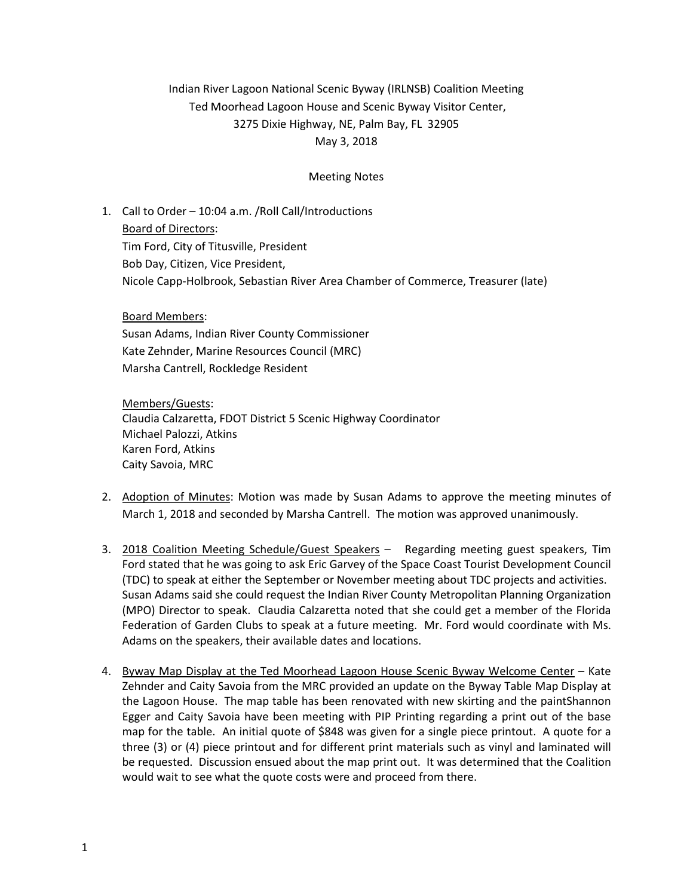## Indian River Lagoon National Scenic Byway (IRLNSB) Coalition Meeting Ted Moorhead Lagoon House and Scenic Byway Visitor Center, 3275 Dixie Highway, NE, Palm Bay, FL 32905 May 3, 2018

## Meeting Notes

1. Call to Order – 10:04 a.m. /Roll Call/Introductions Board of Directors: Tim Ford, City of Titusville, President Bob Day, Citizen, Vice President, Nicole Capp-Holbrook, Sebastian River Area Chamber of Commerce, Treasurer (late)

Board Members: Susan Adams, Indian River County Commissioner Kate Zehnder, Marine Resources Council (MRC) Marsha Cantrell, Rockledge Resident

Members/Guests: Claudia Calzaretta, FDOT District 5 Scenic Highway Coordinator Michael Palozzi, Atkins Karen Ford, Atkins Caity Savoia, MRC

- 2. Adoption of Minutes: Motion was made by Susan Adams to approve the meeting minutes of March 1, 2018 and seconded by Marsha Cantrell. The motion was approved unanimously.
- 3. 2018 Coalition Meeting Schedule/Guest Speakers Regarding meeting guest speakers, Tim Ford stated that he was going to ask Eric Garvey of the Space Coast Tourist Development Council (TDC) to speak at either the September or November meeting about TDC projects and activities. Susan Adams said she could request the Indian River County Metropolitan Planning Organization (MPO) Director to speak. Claudia Calzaretta noted that she could get a member of the Florida Federation of Garden Clubs to speak at a future meeting. Mr. Ford would coordinate with Ms. Adams on the speakers, their available dates and locations.
- 4. Byway Map Display at the Ted Moorhead Lagoon House Scenic Byway Welcome Center Kate Zehnder and Caity Savoia from the MRC provided an update on the Byway Table Map Display at the Lagoon House. The map table has been renovated with new skirting and the paintShannon Egger and Caity Savoia have been meeting with PIP Printing regarding a print out of the base map for the table. An initial quote of \$848 was given for a single piece printout. A quote for a three (3) or (4) piece printout and for different print materials such as vinyl and laminated will be requested. Discussion ensued about the map print out. It was determined that the Coalition would wait to see what the quote costs were and proceed from there.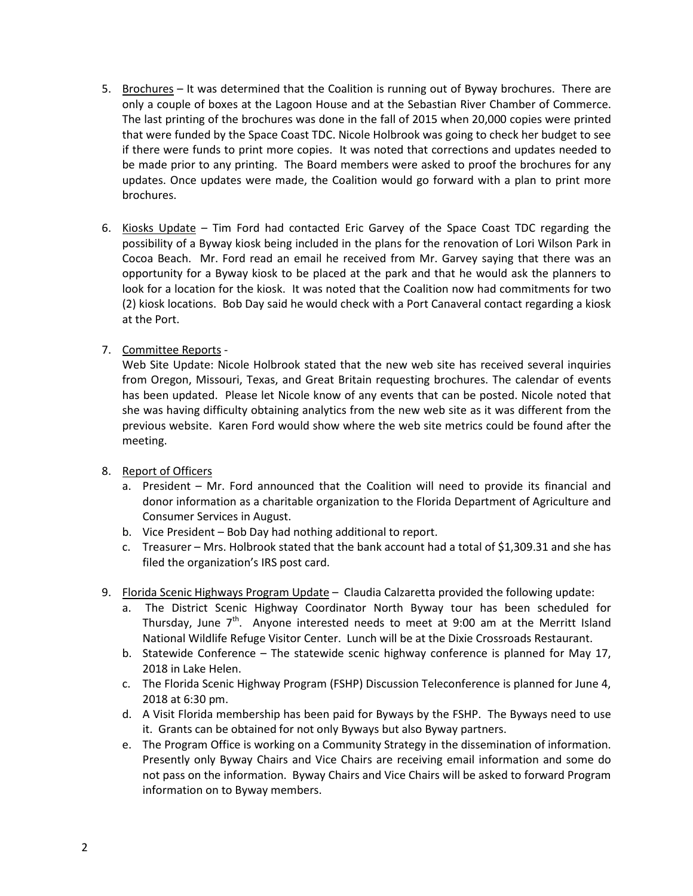- 5. Brochures It was determined that the Coalition is running out of Byway brochures. There are only a couple of boxes at the Lagoon House and at the Sebastian River Chamber of Commerce. The last printing of the brochures was done in the fall of 2015 when 20,000 copies were printed that were funded by the Space Coast TDC. Nicole Holbrook was going to check her budget to see if there were funds to print more copies. It was noted that corrections and updates needed to be made prior to any printing. The Board members were asked to proof the brochures for any updates. Once updates were made, the Coalition would go forward with a plan to print more brochures.
- 6. Kiosks Update Tim Ford had contacted Eric Garvey of the Space Coast TDC regarding the possibility of a Byway kiosk being included in the plans for the renovation of Lori Wilson Park in Cocoa Beach. Mr. Ford read an email he received from Mr. Garvey saying that there was an opportunity for a Byway kiosk to be placed at the park and that he would ask the planners to look for a location for the kiosk. It was noted that the Coalition now had commitments for two (2) kiosk locations. Bob Day said he would check with a Port Canaveral contact regarding a kiosk at the Port.
- 7. Committee Reports -

Web Site Update: Nicole Holbrook stated that the new web site has received several inquiries from Oregon, Missouri, Texas, and Great Britain requesting brochures. The calendar of events has been updated. Please let Nicole know of any events that can be posted. Nicole noted that she was having difficulty obtaining analytics from the new web site as it was different from the previous website. Karen Ford would show where the web site metrics could be found after the meeting.

- 8. Report of Officers
	- a. President Mr. Ford announced that the Coalition will need to provide its financial and donor information as a charitable organization to the Florida Department of Agriculture and Consumer Services in August.
	- b. Vice President Bob Day had nothing additional to report.
	- c. Treasurer Mrs. Holbrook stated that the bank account had a total of \$1,309.31 and she has filed the organization's IRS post card.
- 9. Florida Scenic Highways Program Update Claudia Calzaretta provided the following update:
	- a. The District Scenic Highway Coordinator North Byway tour has been scheduled for Thursday, June  $7<sup>th</sup>$ . Anyone interested needs to meet at 9:00 am at the Merritt Island National Wildlife Refuge Visitor Center. Lunch will be at the Dixie Crossroads Restaurant.
	- b. Statewide Conference The statewide scenic highway conference is planned for May 17, 2018 in Lake Helen.
	- c. The Florida Scenic Highway Program (FSHP) Discussion Teleconference is planned for June 4, 2018 at 6:30 pm.
	- d. A Visit Florida membership has been paid for Byways by the FSHP. The Byways need to use it. Grants can be obtained for not only Byways but also Byway partners.
	- e. The Program Office is working on a Community Strategy in the dissemination of information. Presently only Byway Chairs and Vice Chairs are receiving email information and some do not pass on the information. Byway Chairs and Vice Chairs will be asked to forward Program information on to Byway members.